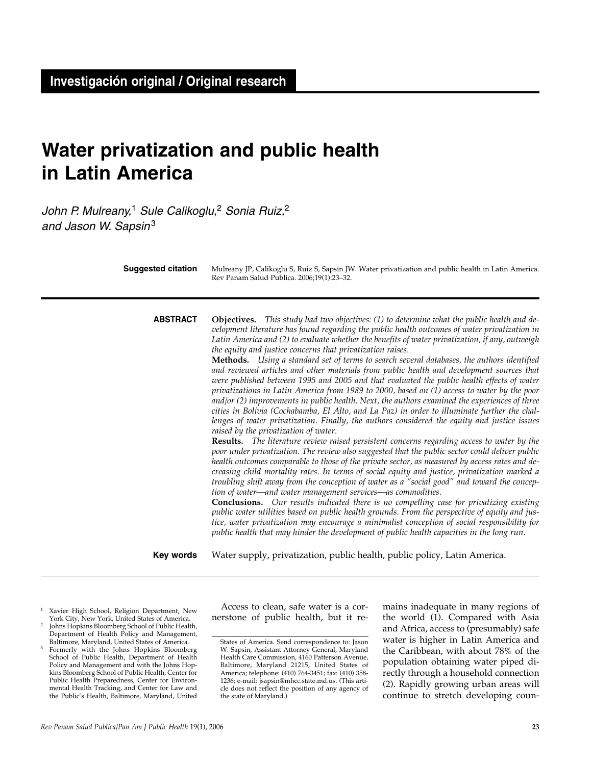# **Water privatization and public health in Latin America**

John P. Mulreany,<sup>1</sup> Sule Calikoglu,<sup>2</sup> Sonia Ruiz,<sup>2</sup> and Jason W. Sapsin<sup>3</sup>

| <b>Suggested citation</b> | Mulreany JP, Calikoglu S, Ruiz S, Sapsin JW. Water privatization and public health in Latin America.<br>Rev Panam Salud Publica. 2006;19(1):23-32.                                                                                                                                                                                                                                                                                                                                                                                                                                                                                                                                                                                                                                                                                                                                                                                                                                                                                                                                                                                                                                                                                                                                                                                                                                                                                                                                                                                                                                                                                                                                                                                                                                                                                                                                                                                                                                                                                                                 |
|---------------------------|--------------------------------------------------------------------------------------------------------------------------------------------------------------------------------------------------------------------------------------------------------------------------------------------------------------------------------------------------------------------------------------------------------------------------------------------------------------------------------------------------------------------------------------------------------------------------------------------------------------------------------------------------------------------------------------------------------------------------------------------------------------------------------------------------------------------------------------------------------------------------------------------------------------------------------------------------------------------------------------------------------------------------------------------------------------------------------------------------------------------------------------------------------------------------------------------------------------------------------------------------------------------------------------------------------------------------------------------------------------------------------------------------------------------------------------------------------------------------------------------------------------------------------------------------------------------------------------------------------------------------------------------------------------------------------------------------------------------------------------------------------------------------------------------------------------------------------------------------------------------------------------------------------------------------------------------------------------------------------------------------------------------------------------------------------------------|
| <b>ABSTRACT</b>           | Objectives. This study had two objectives: (1) to determine what the public health and de-<br>velopment literature has found regarding the public health outcomes of water privatization in<br>Latin America and (2) to evaluate whether the benefits of water privatization, if any, outweigh<br>the equity and justice concerns that privatization raises.<br>Methods. Using a standard set of terms to search several databases, the authors identified<br>and reviewed articles and other materials from public health and development sources that<br>were published between 1995 and 2005 and that evaluated the public health effects of water<br>privatizations in Latin America from 1989 to 2000, based on (1) access to water by the poor<br>and/or (2) improvements in public health. Next, the authors examined the experiences of three<br>cities in Bolivia (Cochabamba, El Alto, and La Paz) in order to illuminate further the chal-<br>lenges of water privatization. Finally, the authors considered the equity and justice issues<br>raised by the privatization of water.<br>Results. The literature review raised persistent concerns regarding access to water by the<br>poor under privatization. The review also suggested that the public sector could deliver public<br>health outcomes comparable to those of the private sector, as measured by access rates and de-<br>creasing child mortality rates. In terms of social equity and justice, privatization marked a<br>troubling shift away from the conception of water as a "social good" and toward the concep-<br>tion of water-and water management services-as commodities.<br><b>Conclusions.</b> Our results indicated there is no compelling case for privatizing existing<br>public water utilities based on public health grounds. From the perspective of equity and jus-<br>tice, water privatization may encourage a minimalist conception of social responsibility for<br>public health that may hinder the development of public health capacities in the long run. |
| Key words                 | Water supply, privatization, public health, public policy, Latin America.                                                                                                                                                                                                                                                                                                                                                                                                                                                                                                                                                                                                                                                                                                                                                                                                                                                                                                                                                                                                                                                                                                                                                                                                                                                                                                                                                                                                                                                                                                                                                                                                                                                                                                                                                                                                                                                                                                                                                                                          |

- <sup>1</sup> Xavier High School, Religion Department, New<br>York City, New York, United States of America.
- Johns Hopkins Bloomberg School of Public Health, Department of Health Policy and Management,<br>Baltimore, Maryland, United States of America.
- Formerly with the Johns Hopkins Bloomberg School of Public Health, Department of Health Policy and Management and with the Johns Hopkins Bloomberg School of Public Health, Center for Public Health Preparedness, Center for Environmental Health Tracking, and Center for Law and the Public's Health, Baltimore, Maryland, United

Access to clean, safe water is a cornerstone of public health, but it remains inadequate in many regions of the world (1). Compared with Asia and Africa, access to (presumably) safe water is higher in Latin America and the Caribbean, with about 78% of the population obtaining water piped directly through a household connection (2). Rapidly growing urban areas will continue to stretch developing coun-

States of America. Send correspondence to: Jason W. Sapsin, Assistant Attorney General, Maryland Health Care Commission, 4160 Patterson Avenue, Baltimore, Maryland 21215, United States of America; telephone: (410) 764-3451; fax: (410) 358- 1236; e-mail: jsapsin@mhcc.state.md.us. (This article does not reflect the position of any agency of the state of Maryland.)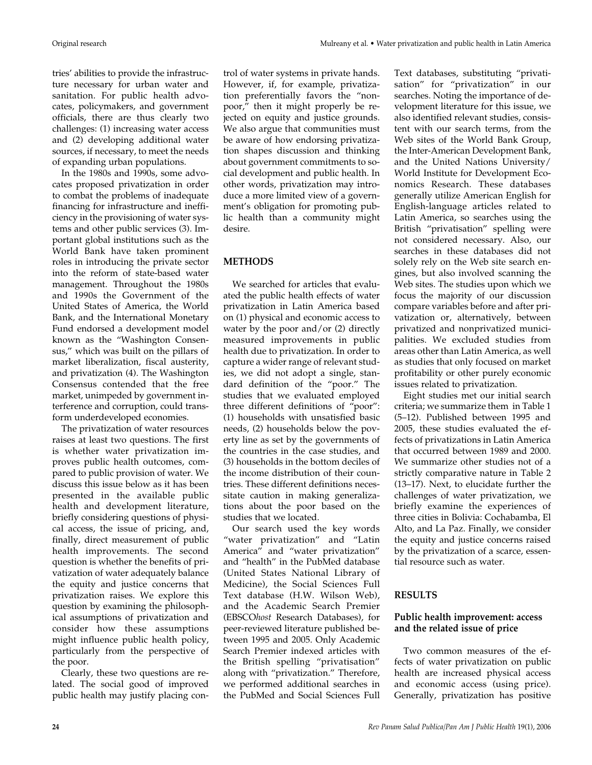tries' abilities to provide the infrastructure necessary for urban water and sanitation. For public health advocates, policymakers, and government officials, there are thus clearly two challenges: (1) increasing water access and (2) developing additional water sources, if necessary, to meet the needs of expanding urban populations.

In the 1980s and 1990s, some advocates proposed privatization in order to combat the problems of inadequate financing for infrastructure and inefficiency in the provisioning of water systems and other public services (3). Important global institutions such as the World Bank have taken prominent roles in introducing the private sector into the reform of state-based water management. Throughout the 1980s and 1990s the Government of the United States of America, the World Bank, and the International Monetary Fund endorsed a development model known as the "Washington Consensus," which was built on the pillars of market liberalization, fiscal austerity, and privatization (4). The Washington Consensus contended that the free market, unimpeded by government interference and corruption, could transform underdeveloped economies.

The privatization of water resources raises at least two questions. The first is whether water privatization improves public health outcomes, compared to public provision of water. We discuss this issue below as it has been presented in the available public health and development literature, briefly considering questions of physical access, the issue of pricing, and, finally, direct measurement of public health improvements. The second question is whether the benefits of privatization of water adequately balance the equity and justice concerns that privatization raises. We explore this question by examining the philosophical assumptions of privatization and consider how these assumptions might influence public health policy, particularly from the perspective of the poor.

Clearly, these two questions are related. The social good of improved public health may justify placing control of water systems in private hands. However, if, for example, privatization preferentially favors the "nonpoor," then it might properly be rejected on equity and justice grounds. We also argue that communities must be aware of how endorsing privatization shapes discussion and thinking about government commitments to social development and public health. In other words, privatization may introduce a more limited view of a government's obligation for promoting public health than a community might desire.

## **METHODS**

We searched for articles that evaluated the public health effects of water privatization in Latin America based on (1) physical and economic access to water by the poor and/or (2) directly measured improvements in public health due to privatization. In order to capture a wider range of relevant studies, we did not adopt a single, standard definition of the "poor." The studies that we evaluated employed three different definitions of "poor": (1) households with unsatisfied basic needs, (2) households below the poverty line as set by the governments of the countries in the case studies, and (3) households in the bottom deciles of the income distribution of their countries. These different definitions necessitate caution in making generalizations about the poor based on the studies that we located.

Our search used the key words "water privatization" and "Latin America" and "water privatization" and "health" in the PubMed database (United States National Library of Medicine), the Social Sciences Full Text database (H.W. Wilson Web), and the Academic Search Premier (EBSCO*host* Research Databases), for peer-reviewed literature published between 1995 and 2005. Only Academic Search Premier indexed articles with the British spelling "privatisation" along with "privatization." Therefore, we performed additional searches in the PubMed and Social Sciences Full

Text databases, substituting "privatisation" for "privatization" in our searches. Noting the importance of development literature for this issue, we also identified relevant studies, consistent with our search terms, from the Web sites of the World Bank Group, the Inter-American Development Bank, and the United Nations University/ World Institute for Development Economics Research. These databases generally utilize American English for English-language articles related to Latin America, so searches using the British "privatisation" spelling were not considered necessary. Also, our searches in these databases did not solely rely on the Web site search engines, but also involved scanning the Web sites. The studies upon which we focus the majority of our discussion compare variables before and after privatization or, alternatively, between privatized and nonprivatized municipalities. We excluded studies from areas other than Latin America, as well as studies that only focused on market profitability or other purely economic issues related to privatization.

Eight studies met our initial search criteria; we summarize them in Table 1 (5–12). Published between 1995 and 2005, these studies evaluated the effects of privatizations in Latin America that occurred between 1989 and 2000. We summarize other studies not of a strictly comparative nature in Table 2 (13–17). Next, to elucidate further the challenges of water privatization, we briefly examine the experiences of three cities in Bolivia: Cochabamba, El Alto, and La Paz. Finally, we consider the equity and justice concerns raised by the privatization of a scarce, essential resource such as water.

### **RESULTS**

### **Public health improvement: access and the related issue of price**

Two common measures of the effects of water privatization on public health are increased physical access and economic access (using price). Generally, privatization has positive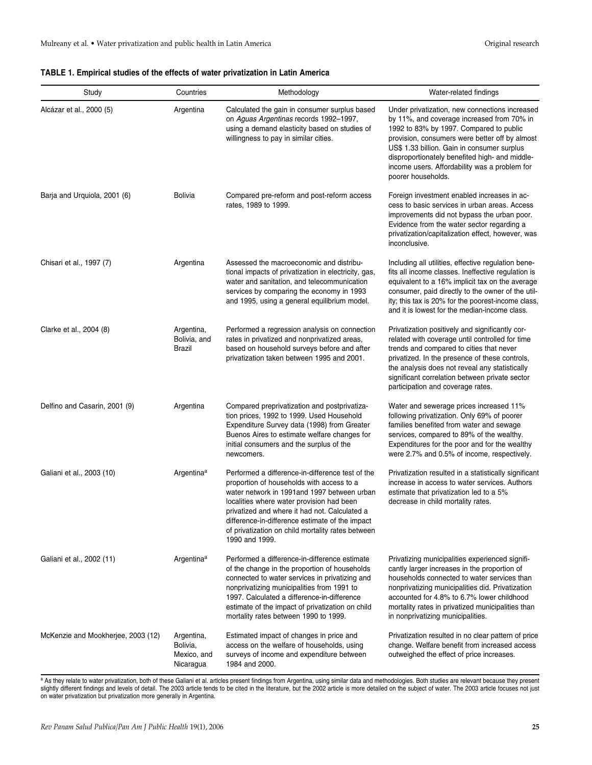|  |  |  |  |  |  | TABLE 1. Empirical studies of the effects of water privatization in Latin America |  |  |
|--|--|--|--|--|--|-----------------------------------------------------------------------------------|--|--|
|--|--|--|--|--|--|-----------------------------------------------------------------------------------|--|--|

| Study                              | Countries                                          | Methodology                                                                                                                                                                                                                                                                                                                                                           | Water-related findings                                                                                                                                                                                                                                                                                                                                            |
|------------------------------------|----------------------------------------------------|-----------------------------------------------------------------------------------------------------------------------------------------------------------------------------------------------------------------------------------------------------------------------------------------------------------------------------------------------------------------------|-------------------------------------------------------------------------------------------------------------------------------------------------------------------------------------------------------------------------------------------------------------------------------------------------------------------------------------------------------------------|
| Alcázar et al., 2000 (5)           | Argentina                                          | Calculated the gain in consumer surplus based<br>on Aguas Argentinas records 1992-1997,<br>using a demand elasticity based on studies of<br>willingness to pay in similar cities.                                                                                                                                                                                     | Under privatization, new connections increased<br>by 11%, and coverage increased from 70% in<br>1992 to 83% by 1997. Compared to public<br>provision, consumers were better off by almost<br>US\$ 1.33 billion. Gain in consumer surplus<br>disproportionately benefited high- and middle-<br>income users. Affordability was a problem for<br>poorer households. |
| Barja and Urquiola, 2001 (6)       | <b>Bolivia</b>                                     | Compared pre-reform and post-reform access<br>rates, 1989 to 1999.                                                                                                                                                                                                                                                                                                    | Foreign investment enabled increases in ac-<br>cess to basic services in urban areas. Access<br>improvements did not bypass the urban poor.<br>Evidence from the water sector regarding a<br>privatization/capitalization effect, however, was<br>inconclusive.                                                                                                   |
| Chisari et al., 1997 (7)           | Argentina                                          | Assessed the macroeconomic and distribu-<br>tional impacts of privatization in electricity, gas,<br>water and sanitation, and telecommunication<br>services by comparing the economy in 1993<br>and 1995, using a general equilibrium model.                                                                                                                          | Including all utilities, effective regulation bene-<br>fits all income classes. Ineffective regulation is<br>equivalent to a 16% implicit tax on the average<br>consumer, paid directly to the owner of the util-<br>ity; this tax is 20% for the poorest-income class,<br>and it is lowest for the median-income class.                                          |
| Clarke et al., 2004 (8)            | Argentina,<br>Bolivia, and<br>Brazil               | Performed a regression analysis on connection<br>rates in privatized and nonprivatized areas,<br>based on household surveys before and after<br>privatization taken between 1995 and 2001.                                                                                                                                                                            | Privatization positively and significantly cor-<br>related with coverage until controlled for time<br>trends and compared to cities that never<br>privatized. In the presence of these controls,<br>the analysis does not reveal any statistically<br>significant correlation between private sector<br>participation and coverage rates.                         |
| Delfino and Casarin, 2001 (9)      | Argentina                                          | Compared preprivatization and postprivatiza-<br>tion prices, 1992 to 1999. Used Household<br>Expenditure Survey data (1998) from Greater<br>Buenos Aires to estimate welfare changes for<br>initial consumers and the surplus of the<br>newcomers.                                                                                                                    | Water and sewerage prices increased 11%<br>following privatization. Only 69% of poorer<br>families benefited from water and sewage<br>services, compared to 89% of the wealthy.<br>Expenditures for the poor and for the wealthy<br>were 2.7% and 0.5% of income, respectively.                                                                                   |
| Galiani et al., 2003 (10)          | Argentina <sup>a</sup>                             | Performed a difference-in-difference test of the<br>proportion of households with access to a<br>water network in 1991 and 1997 between urban<br>localities where water provision had been<br>privatized and where it had not. Calculated a<br>difference-in-difference estimate of the impact<br>of privatization on child mortality rates between<br>1990 and 1999. | Privatization resulted in a statistically significant<br>increase in access to water services. Authors<br>estimate that privatization led to a 5%<br>decrease in child mortality rates.                                                                                                                                                                           |
| Galiani et al., 2002 (11)          | Argentina <sup>a</sup>                             | Performed a difference-in-difference estimate<br>of the change in the proportion of households<br>connected to water services in privatizing and<br>nonprivatizing municipalities from 1991 to<br>1997. Calculated a difference-in-difference<br>estimate of the impact of privatization on child<br>mortality rates between 1990 to 1999.                            | Privatizing municipalities experienced signifi-<br>cantly larger increases in the proportion of<br>households connected to water services than<br>nonprivatizing municipalities did. Privatization<br>accounted for 4.8% to 6.7% lower childhood<br>mortality rates in privatized municipalities than<br>in nonprivatizing municipalities.                        |
| McKenzie and Mookherjee, 2003 (12) | Argentina,<br>Bolivia,<br>Mexico, and<br>Nicaragua | Estimated impact of changes in price and<br>access on the welfare of households, using<br>surveys of income and expenditure between<br>1984 and 2000.                                                                                                                                                                                                                 | Privatization resulted in no clear pattern of price<br>change. Welfare benefit from increased access<br>outweighed the effect of price increases.                                                                                                                                                                                                                 |

<sup>a</sup> As they relate to water privatization, both of these Galiani et al. articles present findings from Argentina, using similar data and methodologies. Both studies are relevant because they present slightly different findings and levels of detail. The 2003 article tends to be cited in the literature, but the 2002 article is more detailed on the subject of water. The 2003 article focuses not just on water privatization but privatization more generally in Argentina.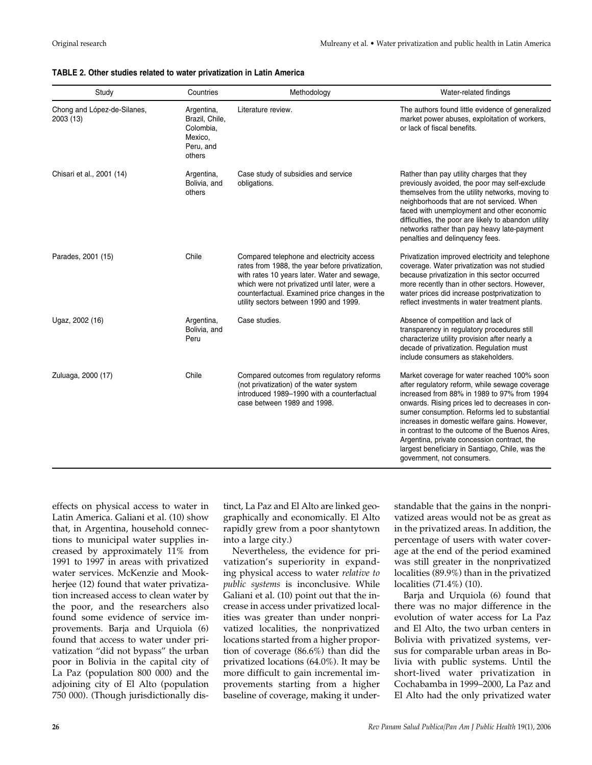| Study                                    | Countries                                                                   | Methodology                                                                                                                                                                                                                                                                              | Water-related findings                                                                                                                                                                                                                                                                                                                                                                                                                                                               |  |  |
|------------------------------------------|-----------------------------------------------------------------------------|------------------------------------------------------------------------------------------------------------------------------------------------------------------------------------------------------------------------------------------------------------------------------------------|--------------------------------------------------------------------------------------------------------------------------------------------------------------------------------------------------------------------------------------------------------------------------------------------------------------------------------------------------------------------------------------------------------------------------------------------------------------------------------------|--|--|
| Chong and López-de-Silanes,<br>2003 (13) | Argentina,<br>Brazil, Chile,<br>Colombia,<br>Mexico,<br>Peru, and<br>others | Literature review.                                                                                                                                                                                                                                                                       | The authors found little evidence of generalized<br>market power abuses, exploitation of workers,<br>or lack of fiscal benefits.                                                                                                                                                                                                                                                                                                                                                     |  |  |
| Chisari et al., 2001 (14)                | Argentina,<br>Bolivia, and<br>others                                        | Case study of subsidies and service<br>obligations.                                                                                                                                                                                                                                      | Rather than pay utility charges that they<br>previously avoided, the poor may self-exclude<br>themselves from the utility networks, moving to<br>neighborhoods that are not serviced. When<br>faced with unemployment and other economic<br>difficulties, the poor are likely to abandon utility<br>networks rather than pay heavy late-payment<br>penalties and delinguency fees.                                                                                                   |  |  |
| Parades, 2001 (15)                       | Chile                                                                       | Compared telephone and electricity access<br>rates from 1988, the year before privatization,<br>with rates 10 years later. Water and sewage,<br>which were not privatized until later, were a<br>counterfactual. Examined price changes in the<br>utility sectors between 1990 and 1999. | Privatization improved electricity and telephone<br>coverage. Water privatization was not studied<br>because privatization in this sector occurred<br>more recently than in other sectors. However,<br>water prices did increase postprivatization to<br>reflect investments in water treatment plants.                                                                                                                                                                              |  |  |
| Ugaz, 2002 (16)                          | Argentina,<br>Bolivia, and<br>Peru                                          | Case studies.                                                                                                                                                                                                                                                                            | Absence of competition and lack of<br>transparency in regulatory procedures still<br>characterize utility provision after nearly a<br>decade of privatization. Regulation must<br>include consumers as stakeholders.                                                                                                                                                                                                                                                                 |  |  |
| Zuluaga, 2000 (17)                       | Chile                                                                       | Compared outcomes from regulatory reforms<br>(not privatization) of the water system<br>introduced 1989-1990 with a counterfactual<br>case between 1989 and 1998.                                                                                                                        | Market coverage for water reached 100% soon<br>after regulatory reform, while sewage coverage<br>increased from 88% in 1989 to 97% from 1994<br>onwards. Rising prices led to decreases in con-<br>sumer consumption. Reforms led to substantial<br>increases in domestic welfare gains. However,<br>in contrast to the outcome of the Buenos Aires,<br>Argentina, private concession contract, the<br>largest beneficiary in Santiago, Chile, was the<br>government, not consumers. |  |  |

#### **TABLE 2. Other studies related to water privatization in Latin America**

effects on physical access to water in Latin America. Galiani et al. (10) show that, in Argentina, household connections to municipal water supplies increased by approximately 11% from 1991 to 1997 in areas with privatized water services. McKenzie and Mookherjee (12) found that water privatization increased access to clean water by the poor, and the researchers also found some evidence of service improvements. Barja and Urquiola (6) found that access to water under privatization "did not bypass" the urban poor in Bolivia in the capital city of La Paz (population 800 000) and the adjoining city of El Alto (population 750 000). (Though jurisdictionally distinct, La Paz and El Alto are linked geographically and economically. El Alto rapidly grew from a poor shantytown into a large city.)

Nevertheless, the evidence for privatization's superiority in expanding physical access to water *relative to public systems* is inconclusive. While Galiani et al. (10) point out that the increase in access under privatized localities was greater than under nonprivatized localities, the nonprivatized locations started from a higher proportion of coverage (86.6%) than did the privatized locations (64.0%). It may be more difficult to gain incremental improvements starting from a higher baseline of coverage, making it understandable that the gains in the nonprivatized areas would not be as great as in the privatized areas. In addition, the percentage of users with water coverage at the end of the period examined was still greater in the nonprivatized localities (89.9%) than in the privatized localities (71.4%) (10).

Barja and Urquiola (6) found that there was no major difference in the evolution of water access for La Paz and El Alto, the two urban centers in Bolivia with privatized systems, versus for comparable urban areas in Bolivia with public systems. Until the short-lived water privatization in Cochabamba in 1999–2000, La Paz and El Alto had the only privatized water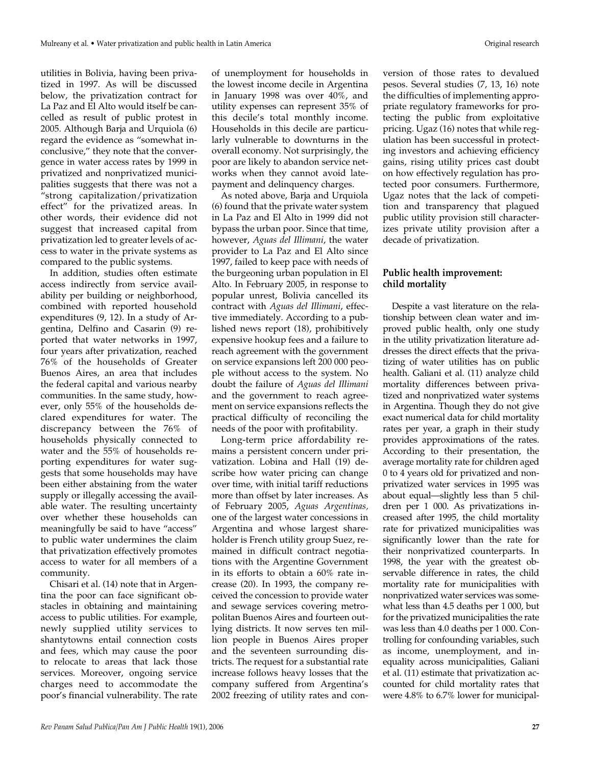utilities in Bolivia, having been privatized in 1997. As will be discussed below, the privatization contract for La Paz and El Alto would itself be cancelled as result of public protest in 2005. Although Barja and Urquiola (6) regard the evidence as "somewhat inconclusive," they note that the convergence in water access rates by 1999 in privatized and nonprivatized municipalities suggests that there was not a "strong capitalization/privatization effect" for the privatized areas. In other words, their evidence did not suggest that increased capital from privatization led to greater levels of access to water in the private systems as compared to the public systems.

In addition, studies often estimate access indirectly from service availability per building or neighborhood, combined with reported household expenditures (9, 12). In a study of Argentina, Delfino and Casarin (9) reported that water networks in 1997, four years after privatization, reached 76% of the households of Greater Buenos Aires, an area that includes the federal capital and various nearby communities. In the same study, however, only 55% of the households declared expenditures for water. The discrepancy between the 76% of households physically connected to water and the 55% of households reporting expenditures for water suggests that some households may have been either abstaining from the water supply or illegally accessing the available water. The resulting uncertainty over whether these households can meaningfully be said to have "access" to public water undermines the claim that privatization effectively promotes access to water for all members of a community.

Chisari et al. (14) note that in Argentina the poor can face significant obstacles in obtaining and maintaining access to public utilities. For example, newly supplied utility services to shantytowns entail connection costs and fees, which may cause the poor to relocate to areas that lack those services. Moreover, ongoing service charges need to accommodate the poor's financial vulnerability. The rate

of unemployment for households in the lowest income decile in Argentina in January 1998 was over 40%, and utility expenses can represent 35% of this decile's total monthly income. Households in this decile are particularly vulnerable to downturns in the overall economy. Not surprisingly, the poor are likely to abandon service networks when they cannot avoid latepayment and delinquency charges.

As noted above, Barja and Urquiola (6) found that the private water system in La Paz and El Alto in 1999 did not bypass the urban poor. Since that time, however, *Aguas del Illimani*, the water provider to La Paz and El Alto since 1997, failed to keep pace with needs of the burgeoning urban population in El Alto. In February 2005, in response to popular unrest, Bolivia cancelled its contract with *Aguas del Illimani*, effective immediately. According to a published news report (18), prohibitively expensive hookup fees and a failure to reach agreement with the government on service expansions left 200 000 people without access to the system. No doubt the failure of *Aguas del Illimani* and the government to reach agreement on service expansions reflects the practical difficulty of reconciling the needs of the poor with profitability.

Long-term price affordability remains a persistent concern under privatization. Lobina and Hall (19) describe how water pricing can change over time, with initial tariff reductions more than offset by later increases. As of February 2005, *Aguas Argentinas,* one of the largest water concessions in Argentina and whose largest shareholder is French utility group Suez, remained in difficult contract negotiations with the Argentine Government in its efforts to obtain a 60% rate increase (20). In 1993, the company received the concession to provide water and sewage services covering metropolitan Buenos Aires and fourteen outlying districts. It now serves ten million people in Buenos Aires proper and the seventeen surrounding districts. The request for a substantial rate increase follows heavy losses that the company suffered from Argentina's 2002 freezing of utility rates and conversion of those rates to devalued pesos. Several studies (7, 13, 16) note the difficulties of implementing appropriate regulatory frameworks for protecting the public from exploitative pricing. Ugaz (16) notes that while regulation has been successful in protecting investors and achieving efficiency gains, rising utility prices cast doubt on how effectively regulation has protected poor consumers. Furthermore, Ugaz notes that the lack of competition and transparency that plagued public utility provision still characterizes private utility provision after a decade of privatization.

## **Public health improvement: child mortality**

Despite a vast literature on the relationship between clean water and improved public health, only one study in the utility privatization literature addresses the direct effects that the privatizing of water utilities has on public health. Galiani et al. (11) analyze child mortality differences between privatized and nonprivatized water systems in Argentina. Though they do not give exact numerical data for child mortality rates per year, a graph in their study provides approximations of the rates. According to their presentation, the average mortality rate for children aged 0 to 4 years old for privatized and nonprivatized water services in 1995 was about equal—slightly less than 5 children per 1 000. As privatizations increased after 1995, the child mortality rate for privatized municipalities was significantly lower than the rate for their nonprivatized counterparts. In 1998, the year with the greatest observable difference in rates, the child mortality rate for municipalities with nonprivatized water services was somewhat less than 4.5 deaths per 1 000, but for the privatized municipalities the rate was less than 4.0 deaths per 1 000. Controlling for confounding variables, such as income, unemployment, and inequality across municipalities, Galiani et al. (11) estimate that privatization accounted for child mortality rates that were 4.8% to 6.7% lower for municipal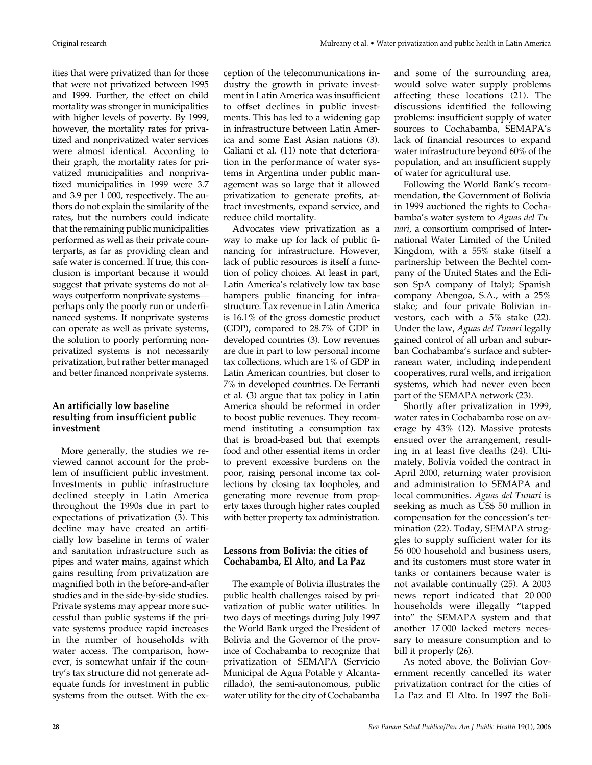ities that were privatized than for those that were not privatized between 1995 and 1999. Further, the effect on child mortality was stronger in municipalities with higher levels of poverty. By 1999, however, the mortality rates for privatized and nonprivatized water services were almost identical. According to their graph, the mortality rates for privatized municipalities and nonprivatized municipalities in 1999 were 3.7 and 3.9 per 1 000, respectively. The authors do not explain the similarity of the rates, but the numbers could indicate that the remaining public municipalities performed as well as their private counterparts, as far as providing clean and safe water is concerned. If true, this conclusion is important because it would suggest that private systems do not always outperform nonprivate systems perhaps only the poorly run or underfinanced systems. If nonprivate systems can operate as well as private systems, the solution to poorly performing nonprivatized systems is not necessarily privatization, but rather better managed and better financed nonprivate systems.

## **An artificially low baseline resulting from insufficient public investment**

More generally, the studies we reviewed cannot account for the problem of insufficient public investment. Investments in public infrastructure declined steeply in Latin America throughout the 1990s due in part to expectations of privatization (3). This decline may have created an artificially low baseline in terms of water and sanitation infrastructure such as pipes and water mains, against which gains resulting from privatization are magnified both in the before-and-after studies and in the side-by-side studies. Private systems may appear more successful than public systems if the private systems produce rapid increases in the number of households with water access. The comparison, however, is somewhat unfair if the country's tax structure did not generate adequate funds for investment in public systems from the outset. With the exception of the telecommunications industry the growth in private investment in Latin America was insufficient to offset declines in public investments. This has led to a widening gap in infrastructure between Latin America and some East Asian nations (3). Galiani et al. (11) note that deterioration in the performance of water systems in Argentina under public management was so large that it allowed privatization to generate profits, attract investments, expand service, and reduce child mortality.

Advocates view privatization as a way to make up for lack of public financing for infrastructure. However, lack of public resources is itself a function of policy choices. At least in part, Latin America's relatively low tax base hampers public financing for infrastructure. Tax revenue in Latin America is 16.1% of the gross domestic product (GDP), compared to 28.7% of GDP in developed countries (3). Low revenues are due in part to low personal income tax collections, which are 1% of GDP in Latin American countries, but closer to 7% in developed countries. De Ferranti et al. (3) argue that tax policy in Latin America should be reformed in order to boost public revenues. They recommend instituting a consumption tax that is broad-based but that exempts food and other essential items in order to prevent excessive burdens on the poor, raising personal income tax collections by closing tax loopholes, and generating more revenue from property taxes through higher rates coupled with better property tax administration.

## **Lessons from Bolivia: the cities of Cochabamba, El Alto, and La Paz**

The example of Bolivia illustrates the public health challenges raised by privatization of public water utilities. In two days of meetings during July 1997 the World Bank urged the President of Bolivia and the Governor of the province of Cochabamba to recognize that privatization of SEMAPA (Servicio Municipal de Agua Potable y Alcantarillado), the semi-autonomous, public water utility for the city of Cochabamba

and some of the surrounding area, would solve water supply problems affecting these locations (21). The discussions identified the following problems: insufficient supply of water sources to Cochabamba, SEMAPA's lack of financial resources to expand water infrastructure beyond 60% of the population, and an insufficient supply of water for agricultural use.

Following the World Bank's recommendation, the Government of Bolivia in 1999 auctioned the rights to Cochabamba's water system to *Aguas del Tunari*, a consortium comprised of International Water Limited of the United Kingdom, with a 55% stake (itself a partnership between the Bechtel company of the United States and the Edison SpA company of Italy); Spanish company Abengoa, S.A*.*, with a 25% stake; and four private Bolivian investors, each with a 5% stake (22). Under the law, *Aguas del Tunari* legally gained control of all urban and suburban Cochabamba's surface and subterranean water, including independent cooperatives, rural wells, and irrigation systems, which had never even been part of the SEMAPA network (23).

Shortly after privatization in 1999, water rates in Cochabamba rose on average by 43% (12). Massive protests ensued over the arrangement, resulting in at least five deaths (24). Ultimately, Bolivia voided the contract in April 2000, returning water provision and administration to SEMAPA and local communities. *Aguas del Tunari* is seeking as much as US\$ 50 million in compensation for the concession's termination (22). Today, SEMAPA struggles to supply sufficient water for its 56 000 household and business users, and its customers must store water in tanks or containers because water is not available continually (25). A 2003 news report indicated that 20 000 households were illegally "tapped into" the SEMAPA system and that another 17 000 lacked meters necessary to measure consumption and to bill it properly (26).

As noted above, the Bolivian Government recently cancelled its water privatization contract for the cities of La Paz and El Alto. In 1997 the Boli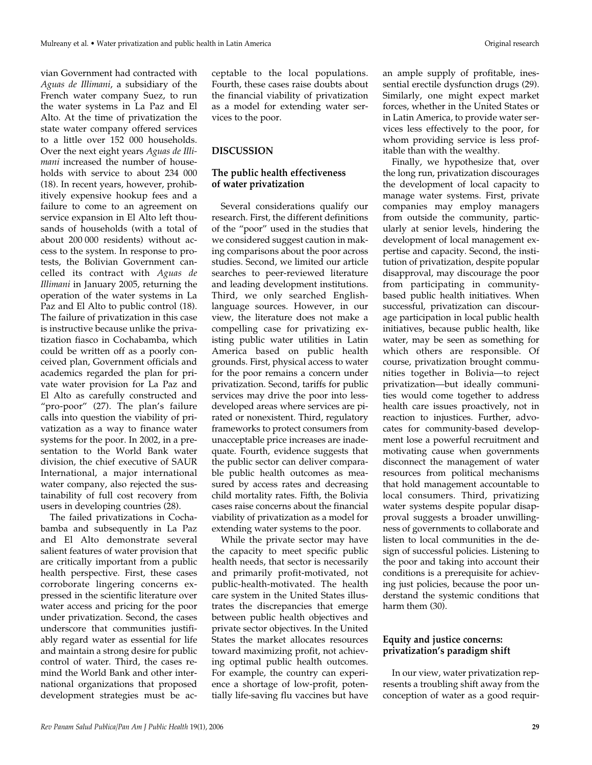vian Government had contracted with *Aguas de Illimani*, a subsidiary of the French water company Suez, to run the water systems in La Paz and El Alto. At the time of privatization the state water company offered services to a little over 152 000 households. Over the next eight years *Aguas de Illimani* increased the number of households with service to about 234 000 (18). In recent years, however, prohibitively expensive hookup fees and a failure to come to an agreement on service expansion in El Alto left thousands of households (with a total of about 200 000 residents) without access to the system. In response to protests, the Bolivian Government cancelled its contract with *Aguas de Illimani* in January 2005, returning the operation of the water systems in La Paz and El Alto to public control (18). The failure of privatization in this case is instructive because unlike the privatization fiasco in Cochabamba, which could be written off as a poorly conceived plan, Government officials and academics regarded the plan for private water provision for La Paz and El Alto as carefully constructed and "pro-poor" (27). The plan's failure calls into question the viability of privatization as a way to finance water systems for the poor. In 2002, in a presentation to the World Bank water division, the chief executive of SAUR International, a major international water company, also rejected the sustainability of full cost recovery from users in developing countries (28).

The failed privatizations in Cochabamba and subsequently in La Paz and El Alto demonstrate several salient features of water provision that are critically important from a public health perspective. First, these cases corroborate lingering concerns expressed in the scientific literature over water access and pricing for the poor under privatization. Second, the cases underscore that communities justifiably regard water as essential for life and maintain a strong desire for public control of water. Third, the cases remind the World Bank and other international organizations that proposed development strategies must be acceptable to the local populations. Fourth, these cases raise doubts about the financial viability of privatization as a model for extending water services to the poor.

#### **DISCUSSION**

### **The public health effectiveness of water privatization**

Several considerations qualify our research. First, the different definitions of the "poor" used in the studies that we considered suggest caution in making comparisons about the poor across studies. Second, we limited our article searches to peer-reviewed literature and leading development institutions. Third, we only searched Englishlanguage sources. However, in our view, the literature does not make a compelling case for privatizing existing public water utilities in Latin America based on public health grounds. First, physical access to water for the poor remains a concern under privatization. Second, tariffs for public services may drive the poor into lessdeveloped areas where services are pirated or nonexistent. Third, regulatory frameworks to protect consumers from unacceptable price increases are inadequate. Fourth, evidence suggests that the public sector can deliver comparable public health outcomes as measured by access rates and decreasing child mortality rates. Fifth, the Bolivia cases raise concerns about the financial viability of privatization as a model for extending water systems to the poor.

While the private sector may have the capacity to meet specific public health needs, that sector is necessarily and primarily profit-motivated, not public-health-motivated. The health care system in the United States illustrates the discrepancies that emerge between public health objectives and private sector objectives. In the United States the market allocates resources toward maximizing profit, not achieving optimal public health outcomes. For example, the country can experience a shortage of low-profit, potentially life-saving flu vaccines but have

an ample supply of profitable, inessential erectile dysfunction drugs (29). Similarly, one might expect market forces, whether in the United States or in Latin America, to provide water services less effectively to the poor, for whom providing service is less profitable than with the wealthy.

Finally, we hypothesize that, over the long run, privatization discourages the development of local capacity to manage water systems. First, private companies may employ managers from outside the community, particularly at senior levels, hindering the development of local management expertise and capacity. Second, the institution of privatization, despite popular disapproval, may discourage the poor from participating in communitybased public health initiatives. When successful, privatization can discourage participation in local public health initiatives, because public health, like water, may be seen as something for which others are responsible. Of course, privatization brought communities together in Bolivia—to reject privatization—but ideally communities would come together to address health care issues proactively, not in reaction to injustices. Further, advocates for community-based development lose a powerful recruitment and motivating cause when governments disconnect the management of water resources from political mechanisms that hold management accountable to local consumers. Third, privatizing water systems despite popular disapproval suggests a broader unwillingness of governments to collaborate and listen to local communities in the design of successful policies. Listening to the poor and taking into account their conditions is a prerequisite for achieving just policies, because the poor understand the systemic conditions that harm them (30).

#### **Equity and justice concerns: privatization's paradigm shift**

In our view, water privatization represents a troubling shift away from the conception of water as a good requir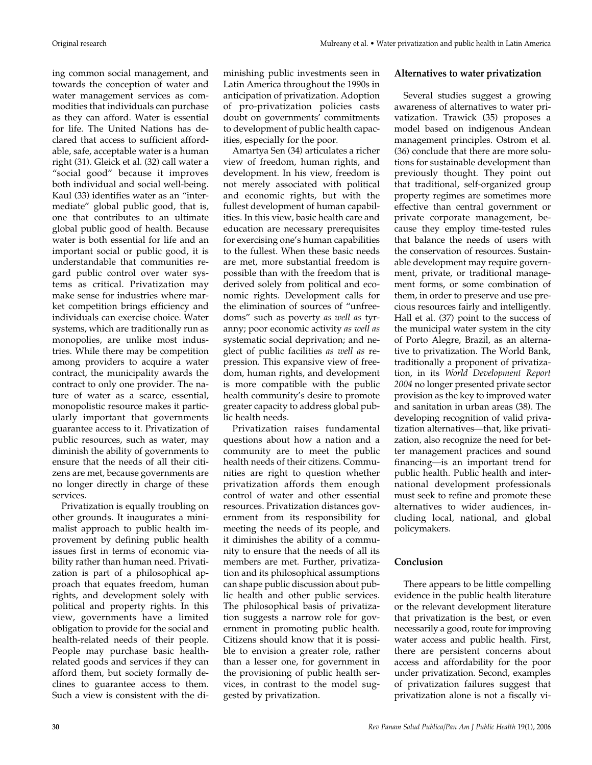ing common social management, and towards the conception of water and water management services as commodities that individuals can purchase as they can afford. Water is essential for life. The United Nations has declared that access to sufficient affordable, safe, acceptable water is a human right (31). Gleick et al. (32) call water a "social good" because it improves both individual and social well-being. Kaul (33) identifies water as an "intermediate" global public good, that is, one that contributes to an ultimate global public good of health. Because water is both essential for life and an important social or public good, it is understandable that communities regard public control over water systems as critical. Privatization may make sense for industries where market competition brings efficiency and individuals can exercise choice. Water systems, which are traditionally run as monopolies, are unlike most industries. While there may be competition among providers to acquire a water contract, the municipality awards the contract to only one provider. The nature of water as a scarce, essential, monopolistic resource makes it particularly important that governments guarantee access to it. Privatization of public resources, such as water, may diminish the ability of governments to ensure that the needs of all their citizens are met, because governments are no longer directly in charge of these services.

Privatization is equally troubling on other grounds. It inaugurates a minimalist approach to public health improvement by defining public health issues first in terms of economic viability rather than human need. Privatization is part of a philosophical approach that equates freedom, human rights, and development solely with political and property rights. In this view, governments have a limited obligation to provide for the social and health-related needs of their people. People may purchase basic healthrelated goods and services if they can afford them, but society formally declines to guarantee access to them. Such a view is consistent with the diminishing public investments seen in Latin America throughout the 1990s in anticipation of privatization. Adoption of pro-privatization policies casts doubt on governments' commitments to development of public health capacities, especially for the poor.

Amartya Sen (34) articulates a richer view of freedom, human rights, and development. In his view, freedom is not merely associated with political and economic rights, but with the fullest development of human capabilities. In this view, basic health care and education are necessary prerequisites for exercising one's human capabilities to the fullest. When these basic needs are met, more substantial freedom is possible than with the freedom that is derived solely from political and economic rights. Development calls for the elimination of sources of "unfreedoms" such as poverty *as well as* tyranny; poor economic activity *as well as* systematic social deprivation; and neglect of public facilities *as well as* repression. This expansive view of freedom, human rights, and development is more compatible with the public health community's desire to promote greater capacity to address global public health needs.

Privatization raises fundamental questions about how a nation and a community are to meet the public health needs of their citizens. Communities are right to question whether privatization affords them enough control of water and other essential resources. Privatization distances government from its responsibility for meeting the needs of its people, and it diminishes the ability of a community to ensure that the needs of all its members are met. Further, privatization and its philosophical assumptions can shape public discussion about public health and other public services. The philosophical basis of privatization suggests a narrow role for government in promoting public health. Citizens should know that it is possible to envision a greater role, rather than a lesser one, for government in the provisioning of public health services, in contrast to the model suggested by privatization.

#### **Alternatives to water privatization**

Several studies suggest a growing awareness of alternatives to water privatization. Trawick (35) proposes a model based on indigenous Andean management principles. Ostrom et al. (36) conclude that there are more solutions for sustainable development than previously thought. They point out that traditional, self-organized group property regimes are sometimes more effective than central government or private corporate management, because they employ time-tested rules that balance the needs of users with the conservation of resources. Sustainable development may require government, private, or traditional management forms, or some combination of them, in order to preserve and use precious resources fairly and intelligently. Hall et al. (37) point to the success of the municipal water system in the city of Porto Alegre, Brazil, as an alternative to privatization. The World Bank, traditionally a proponent of privatization, in its *World Development Report 2004* no longer presented private sector provision as the key to improved water and sanitation in urban areas (38). The developing recognition of valid privatization alternatives—that, like privatization, also recognize the need for better management practices and sound financing—is an important trend for public health. Public health and international development professionals must seek to refine and promote these alternatives to wider audiences, including local, national, and global policymakers.

#### **Conclusion**

There appears to be little compelling evidence in the public health literature or the relevant development literature that privatization is the best, or even necessarily a good, route for improving water access and public health. First, there are persistent concerns about access and affordability for the poor under privatization. Second, examples of privatization failures suggest that privatization alone is not a fiscally vi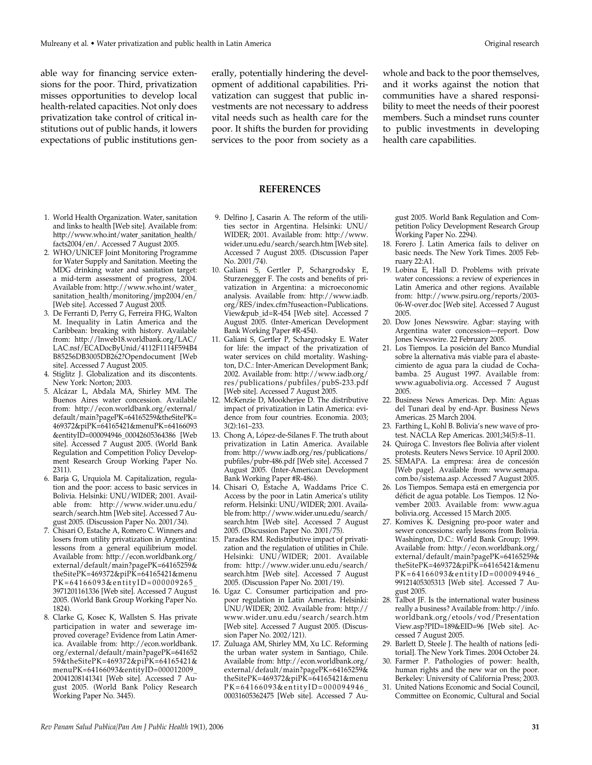able way for financing service extensions for the poor. Third, privatization misses opportunities to develop local health-related capacities. Not only does privatization take control of critical institutions out of public hands, it lowers expectations of public institutions gen-

erally, potentially hindering the development of additional capabilities. Privatization can suggest that public investments are not necessary to address vital needs such as health care for the poor. It shifts the burden for providing services to the poor from society as a

whole and back to the poor themselves, and it works against the notion that communities have a shared responsibility to meet the needs of their poorest members. Such a mindset runs counter to public investments in developing health care capabilities.

#### **REFERENCES**

- 1. World Health Organization. Water, sanitation and links to health [Web site]. Available from: http://www.who.int/water\_sanitation\_health/ facts2004/en/. Accessed 7 August 2005.
- 2. WHO/UNICEF Joint Monitoring Programme for Water Supply and Sanitation. Meeting the MDG drinking water and sanitation target: a mid-term assessment of progress, 2004. Available from: http://www.who.int/water\_ sanitation\_health/monitoring/jmp2004/en/ [Web site]. Accessed 7 August 2005.
- 3. De Ferranti D, Perry G, Ferreira FHG, Walton M. Inequality in Latin America and the Caribbean: breaking with history. Available from: http://lnweb18.worldbank.org/LAC/ LAC.nsf/ECADocByUnid/4112F1114F594B4 B85256DB3005DB262?Opendocument [Web site]. Accessed 7 August 2005.
- 4. Stiglitz J. Globalization and its discontents. New York: Norton; 2003.
- 5. Alcázar L, Abdala MA, Shirley MM. The Buenos Aires water concession. Available from: http://econ.worldbank.org/external/ default/main?pagePK=64165259&theSitePK= 469372&piPK=64165421&menuPK=64166093 &entityID=000094946\_00042605364386 [Web site]. Accessed 7 August 2005. (World Bank Regulation and Competition Policy Development Research Group Working Paper No. 2311).
- 6. Barja G, Urquiola M. Capitalization, regulation and the poor: access to basic services in Bolivia. Helsinki: UNU/WIDER; 2001. Available from: http://www.wider.unu.edu/ search/search.htm [Web site]. Accessed 7 August 2005. (Discussion Paper No. 2001/34).
- 7. Chisari O, Estache A, Romero C. Winners and losers from utility privatization in Argentina: lessons from a general equilibrium model. Available from: http://econ.worldbank.org/ external/default/main?pagePK=64165259& theSitePK=469372&piPK=64165421&menu PK=64166093&entityID=000009265\_ 3971201161336 [Web site]. Accessed 7 August 2005. (World Bank Group Working Paper No. 1824).
- 8. Clarke G, Kosec K, Wallsten S. Has private participation in water and sewerage improved coverage? Evidence from Latin America. Available from: http://econ.worldbank. org/external/default/main?pagePK=641652 59&theSitePK=469372&piPK=64165421& menuPK=64166093&entityID=000012009\_ 20041208141341 [Web site]. Accessed 7 August 2005. (World Bank Policy Research Working Paper No. 3445).
- 9. Delfino J, Casarin A. The reform of the utilities sector in Argentina. Helsinki: UNU/ WIDER; 2001. Available from: http://www. wider.unu.edu/search/search.htm [Web site]. Accessed 7 August 2005. (Discussion Paper No. 2001/74).
- 10. Galiani S, Gertler P, Schargrodsky E, Sturzenegger F. The costs and benefits of privatization in Argentina: a microeconomic analysis. Available from: http://www.iadb. org/RES/index.cfm?fuseaction=Publications. View&pub\_id=R-454 [Web site]. Accessed 7 August 2005. (Inter-American Development Bank Working Paper #R-454).
- 11. Galiani S, Gertler P, Schargrodsky E. Water for life: the impact of the privatization of water services on child mortality. Washington, D.C.: Inter-American Development Bank; 2002. Available from: http://www.iadb.org/ res/publications/pubfiles/pubS-233.pdf [Web site]. Accessed 7 August 2005.
- 12. McKenzie D, Mookherjee D. The distributive impact of privatization in Latin America: evidence from four countries*.* Economia. 2003; 3(2):161–233.
- 13. Chong A, López-de-Silanes F. The truth about privatization in Latin America. Available from: http://www.iadb.org/res/publications/ pubfiles/pubr-486.pdf [Web site]. Accessed 7 August 2005. (Inter-American Development Bank Working Paper #R-486).
- 14. Chisari O, Estache A, Waddams Price C. Access by the poor in Latin America's utility reform. Helsinki: UNU/WIDER; 2001. Available from: http://www.wider.unu.edu/search/ search.htm [Web site]. Accessed 7 August 2005. (Discussion Paper No. 2001/75).
- 15. Parades RM. Redistributive impact of privatization and the regulation of utilities in Chile. Helsinki: UNU/WIDER; 2001. Available from: http://www.wider.unu.edu/search/ search.htm [Web site]. Accessed 7 August 2005. (Discussion Paper No. 2001/19).
- 16. Ugaz C. Consumer participation and propoor regulation in Latin America. Helsinki: UNU/WIDER; 2002. Available from: http:// www.wider.unu.edu/search/search.htm [Web site]. Accessed 7 August 2005. (Discussion Paper No. 2002/121).
- 17. Zuluaga AM, Shirley MM, Xu LC. Reforming the urban water system in Santiago, Chile. Available from: http://econ.worldbank.org/ external/default/main?pagePK=64165259& theSitePK=469372&piPK=64165421&menu PK=64166093&entityID=000094946\_ 00031605362475 [Web site]. Accessed 7 Au-

gust 2005. World Bank Regulation and Competition Policy Development Research Group Working Paper No. 2294).

- 18. Forero J. Latin America fails to deliver on basic needs. The New York Times. 2005 February 22:A1.
- 19. Lobina E, Hall D. Problems with private water concessions: a review of experiences in Latin America and other regions. Available from: http://www.psiru.org/reports/2003- 06-W-over.doc [Web site]. Accessed 7 August 2005.
- 20. Dow Jones Newswire. Agbar: staying with Argentina water concession—report. Dow Jones Newswire. 22 February 2005.
- 21. Los Tiempos. La posición del Banco Mundial sobre la alternativa más viable para el abastecimiento de agua para la ciudad de Cochabamba. 25 August 1997. Available from: www.aguabolivia.org. Accessed 7 August 2005.
- 22. Business News Americas. Dep. Min: Aguas del Tunari deal by end-Apr. Business News Americas. 25 March 2004.
- 23. Farthing L, Kohl B. Bolivia's new wave of protest. NACLA Rep Americas. 2001;34(5):8–11.
- 24. Quiroga C. Investors flee Bolivia after violent protests. Reuters News Service*.* 10 April 2000.
- 25. SEMAPA. La empresa: área de concesión [Web page]. Available from: www.semapa. com.bo/sistema.asp. Accessed 7 August 2005.
- 26*.* Los Tiempos. Semapa está en emergencia por déficit de agua potable. Los Tiempos. 12 November 2003. Available from: www.agua bolivia.org. Accessed 15 March 2005.
- 27. Komives K. Designing pro-poor water and sewer concessions: early lessons from Bolivia. Washington, D.C.: World Bank Group; 1999. Available from: http://econ.worldbank.org/ external/default/main?pagePK=64165259& theSitePK=469372&piPK=64165421&menu PK=64166093&entityID=000094946\_ 99121405305313 [Web site]. Accessed 7 August 2005.
- 28. Talbot JF. Is the international water business really a business? Available from: http://info. worldbank.org/etools/vod/Presentation View.asp?PID=189&EID=96 [Web site]. Accessed 7 August 2005.
- 29. Barlett D, Steele J. The health of nations [editorial]. The New York Times. 2004 October 24.
- 30. Farmer P. Pathologies of power: health, human rights and the new war on the poor. Berkeley: University of California Press; 2003.
- 31. United Nations Economic and Social Council, Committee on Economic, Cultural and Social